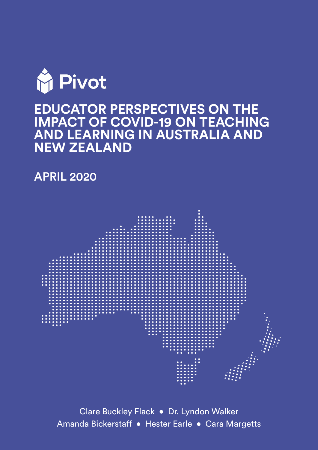

# **EDUCATOR PERSPECTIVES ON THE IMPACT OF COVID-19 ON TEACHING AND LEARNING IN AUSTRALIA AND NEW ZEALAND**

APRIL 2020



Clare Buckley Flack • Dr. Lyndon Walker Amanda Bickerstaff • Hester Earle • Cara Margetts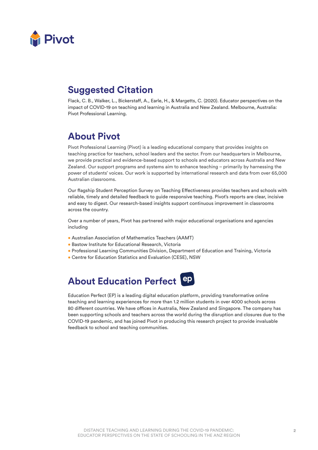

### **Suggested Citation**

Flack, C. B., Walker, L., Bickerstaff, A., Earle, H., & Margetts, C. (2020). Educator perspectives on the impact of COVID-19 on teaching and learning in Australia and New Zealand. Melbourne, Australia: Pivot Professional Learning.

### **About Pivot**

Pivot Professional Learning (Pivot) is a leading educational company that provides insights on teaching practice for teachers, school leaders and the sector. From our headquarters in Melbourne, we provide practical and evidence-based support to schools and educators across Australia and New Zealand. Our support programs and systems aim to enhance teaching – primarily by harnessing the power of students' voices. Our work is supported by international research and data from over 65,000 Australian classrooms.

Our flagship Student Perception Survey on Teaching Effectiveness provides teachers and schools with reliable, timely and detailed feedback to guide responsive teaching. Pivot's reports are clear, incisive and easy to digest. Our research-based insights support continuous improvement in classrooms across the country.

Over a number of years, Pivot has partnered with major educational organisations and agencies including

- Australian Association of Mathematics Teachers (AAMT)
- Bastow Institute for Educational Research, Victoria
- Professional Learning Communities Division, Department of Education and Training, Victoria
- Centre for Education Statistics and Evaluation (CESE), NSW

# **About Education Perfect**

Education Perfect (EP) is a leading digital education platform, providing transformative online teaching and learning experiences for more than 1.2 million students in over 4000 schools across 80 different countries. We have offices in Australia, New Zealand and Singapore. The company has been supporting schools and teachers across the world during the disruption and closures due to the COVID-19 pandemic, and has joined Pivot in producing this research project to provide invaluable feedback to school and teaching communities.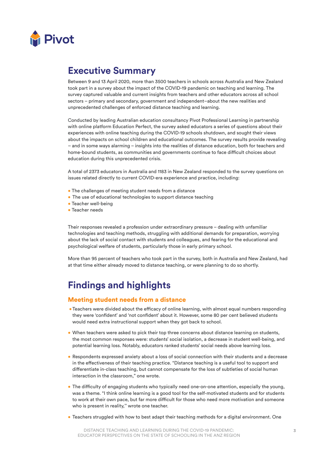

### **Executive Summary**

Between 9 and 13 April 2020, more than 3500 teachers in schools across Australia and New Zealand took part in a survey about the impact of the COVID-19 pandemic on teaching and learning. The survey captured valuable and current insights from teachers and other educators across all school sectors – primary and secondary, government and independent–about the new realities and unprecedented challenges of enforced distance teaching and learning.

Conducted by leading Australian education consultancy Pivot Professional Learning in partnership with online platform Education Perfect, the survey asked educators a series of questions about their experiences with online teaching during the COVID-19 schools shutdown, and sought their views about the impacts on school children and educational outcomes. The survey results provide revealing – and in some ways alarming – insights into the realities of distance education, both for teachers and home-bound students, as communities and governments continue to face difficult choices about education during this unprecedented crisis.

A total of 2373 educators in Australia and 1183 in New Zealand responded to the survey questions on issues related directly to current COVID-era experience and practice, including:

- The challenges of meeting student needs from a distance
- The use of educational technologies to support distance teaching
- Teacher well-being
- Teacher needs

Their responses revealed a profession under extraordinary pressure – dealing with unfamiliar technologies and teaching methods, struggling with additional demands for preparation, worrying about the lack of social contact with students and colleagues, and fearing for the educational and psychological welfare of students, particularly those in early primary school.

More than 95 percent of teachers who took part in the survey, both in Australia and New Zealand, had at that time either already moved to distance teaching, or were planning to do so shortly.

### **Findings and highlights**

### Meeting student needs from a distance

- •Teachers were divided about the efficacy of online learning, with almost equal numbers responding they were 'confident' and 'not confident' about it. However, some 80 per cent believed students would need extra instructional support when they got back to school.
- When teachers were asked to pick their top three concerns about distance learning on students, the most common responses were: students' social isolation, a decrease in student well-being, and potential learning loss. Notably, educators ranked students' social needs above learning loss.
- Respondents expressed anxiety about a loss of social connection with their students and a decrease in the effectiveness of their teaching practice. "Distance teaching is a useful tool to support and differentiate in-class teaching, but cannot compensate for the loss of subtleties of social human interaction in the classroom," one wrote.
- The difficulty of engaging students who typically need one-on-one attention, especially the young, was a theme. "I think online learning is a good tool for the self-motivated students and for students to work at their own pace, but far more difficult for those who need more motivation and someone who is present in reality," wrote one teacher.
- Teachers struggled with how to best adapt their teaching methods for a digital environment. One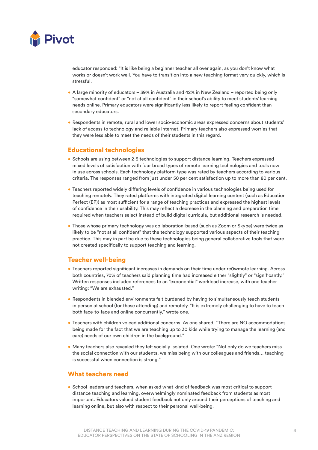

educator responded: "It is like being a beginner teacher all over again, as you don't know what works or doesn't work well. You have to transition into a new teaching format very quickly, which is stressful.

- A large minority of educators 39% in Australia and 42% in New Zealand reported being only "somewhat confident" or "not at all confident" in their school's ability to meet students' learning needs online. Primary educators were significantly less likely to report feeling confident than secondary educators.
- Respondents in remote, rural and lower socio-economic areas expressed concerns about students' lack of access to technology and reliable internet. Primary teachers also expressed worries that they were less able to meet the needs of their students in this regard.

### Educational technologies

- Schools are using between 2-5 technologies to support distance learning. Teachers expressed mixed levels of satisfaction with four broad types of remote learning technologies and tools now in use across schools. Each technology platform type was rated by teachers according to various criteria. The responses ranged from just under 50 per cent satisfaction up to more than 80 per cent.
- Teachers reported widely differing levels of confidence in various technologies being used for teaching remotely. They rated platforms with integrated digital learning content (such as Education Perfect (EP)) as most sufficient for a range of teaching practices and expressed the highest levels of confidence in their usability. This may reflect a decrease in the planning and preparation time required when teachers select instead of build digital curricula, but additional research is needed.
- Those whose primary technology was collaboration-based (such as Zoom or Skype) were twice as likely to be "not at all confident" that the technology supported various aspects of their teaching practice. This may in part be due to these technologies being general collaborative tools that were not created specifically to support teaching and learning.

### Teacher well-being

- Teachers reported significant increases in demands on their time under re0wmote learning. Across both countries, 70% of teachers said planning time had increased either "slightly" or "significantly." Written responses included references to an "exponential" workload increase, with one teacher writing: "We are exhausted."
- Respondents in blended environments felt burdened by having to simultaneously teach students in person at school (for those attending) and remotely. "It is extremely challenging to have to teach both face-to-face and online concurrently," wrote one.
- Teachers with children voiced additional concerns. As one shared, "There are NO accommodations being made for the fact that we are teaching up to 30 kids while trying to manage the learning (and care) needs of our own children in the background."
- Many teachers also revealed they felt socially isolated. One wrote: "Not only do we teachers miss the social connection with our students, we miss being with our colleagues and friends… teaching is successful when connection is strong."

### What teachers need

• School leaders and teachers, when asked what kind of feedback was most critical to support distance teaching and learning, overwhelmingly nominated feedback from students as most important. Educators valued student feedback not only around their perceptions of teaching and learning online, but also with respect to their personal well-being.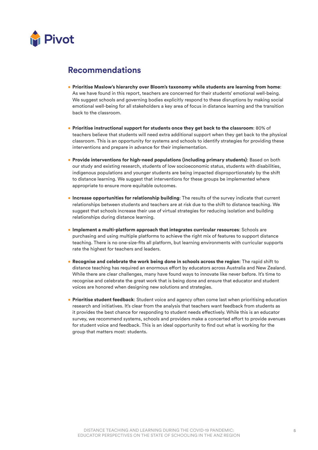

### **Recommendations**

- Prioritise Maslow's hierarchy over Bloom's taxonomy while students are learning from home: As we have found in this report, teachers are concerned for their students' emotional well-being. We suggest schools and governing bodies explicitly respond to these disruptions by making social emotional well-being for all stakeholders a key area of focus in distance learning and the transition back to the classroom.
- Prioritise instructional support for students once they get back to the classroom: 80% of teachers believe that students will need extra additional support when they get back to the physical classroom. This is an opportunity for systems and schools to identify strategies for providing these interventions and prepare in advance for their implementation.
- Provide interventions for high-need populations (including primary students): Based on both our study and existing research, students of low socioeconomic status, students with disabilities, indigenous populations and younger students are being impacted disproportionately by the shift to distance learning. We suggest that interventions for these groups be implemented where appropriate to ensure more equitable outcomes.
- Increase opportunities for relationship building: The results of the survey indicate that current relationships between students and teachers are at risk due to the shift to distance teaching. We suggest that schools increase their use of virtual strategies for reducing isolation and building relationships during distance learning.
- Implement a multi-platform approach that integrates curricular resources: Schools are purchasing and using multiple platforms to achieve the right mix of features to support distance teaching. There is no one-size-fits all platform, but learning environments with curricular supports rate the highest for teachers and leaders.
- Recognise and celebrate the work being done in schools across the region: The rapid shift to distance teaching has required an enormous effort by educators across Australia and New Zealand. While there are clear challenges, many have found ways to innovate like never before. It's time to recognise and celebrate the great work that is being done and ensure that educator and student voices are honored when designing new solutions and strategies.
- Prioritise student feedback: Student voice and agency often come last when prioritising education research and initiatives. It's clear from the analysis that teachers want feedback from students as it provides the best chance for responding to student needs effectively. While this is an educator survey, we recommend systems, schools and providers make a concerted effort to provide avenues for student voice and feedback. This is an ideal opportunity to find out what is working for the group that matters most: students.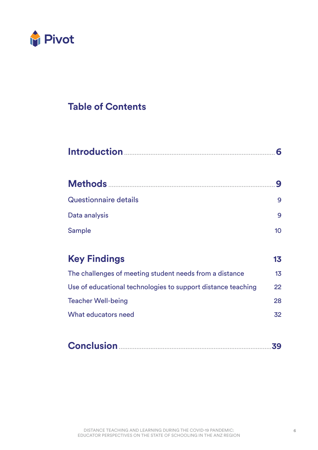

## **Table of Contents**

|                                                              | 9               |  |
|--------------------------------------------------------------|-----------------|--|
| <b>Questionnaire details</b>                                 | 9               |  |
| Data analysis                                                | 9               |  |
| <b>Sample</b>                                                | 10 <sup>°</sup> |  |
|                                                              |                 |  |
| <b>Key Findings</b>                                          | 13              |  |
| The challenges of meeting student needs from a distance      | 13              |  |
| Use of educational technologies to support distance teaching | 22              |  |
| <b>Teacher Well-being</b>                                    | 28              |  |
| What educators need                                          | 32              |  |

|--|--|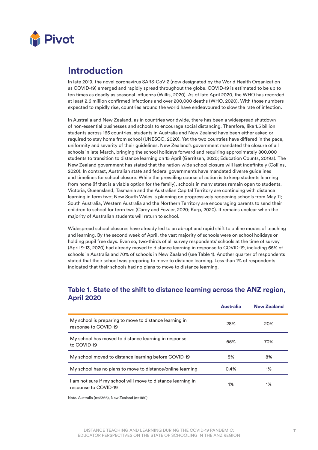

### **Introduction**

In late 2019, the novel coronavirus SARS-CoV-2 (now designated by the World Health Organization as COVID-19) emerged and rapidly spread throughout the globe. COVID-19 is estimated to be up to ten times as deadly as seasonal influenza (Willis, 2020). As of late April 2020, the WHO has recorded at least 2.6 million confirmed infections and over 200,000 deaths (WHO, 2020). With those numbers expected to rapidly rise, countries around the world have endeavoured to slow the rate of infection.

In Australia and New Zealand, as in countries worldwide, there has been a widespread shutdown of non-essential businesses and schools to encourage social distancing. Therefore, like 1.5 billion students across 165 countries, students in Australia and New Zealand have been either asked or required to stay home from school (UNESCO, 2020). Yet the two countries have differed in the pace, uniformity and severity of their guidelines. New Zealand's government mandated the closure of all schools in late March, bringing the school holidays forward and requiring approximately 800,000 students to transition to distance learning on 15 April (Gerritsen, 2020; Education Counts, 2019a). The New Zealand government has stated that the nation-wide school closure will last indefinitely (Collins, 2020). In contrast, Australian state and federal governments have mandated diverse guidelines and timelines for school closure. While the prevailing course of action is to keep students learning from home (if that is a viable option for the family), schools in many states remain open to students. Victoria, Queensland, Tasmania and the Australian Capital Territory are continuing with distance learning in term two; New South Wales is planning on progressively reopening schools from May 11; South Australia, Western Australia and the Northern Territory are encouraging parents to send their children to school for term two (Carey and Fowler, 2020; Karp, 2020). It remains unclear when the majority of Australian students will return to school.

Widespread school closures have already led to an abrupt and rapid shift to online modes of teaching and learning. By the second week of April, the vast majority of schools were on school holidays or holding pupil free days. Even so, two-thirds of all survey respondents' schools at the time of survey (April 9-13, 2020) had already moved to distance learning in response to COVID-19, including 65% of schools in Australia and 70% of schools in New Zealand (see Table 1). Another quarter of respondents stated that their school was preparing to move to distance learning. Less than 1% of respondents indicated that their schools had no plans to move to distance learning.

### Australia New Zealand My school is preparing to move to distance learning in response to COVID-19 **20%** 20% 20% 20% 20% 20% My school has moved to distance learning in response to COVID-19 **65%** 70% My school moved to distance learning before COVID-19 5% 5% 68% My school has no plans to move to distance/online learning  $0.4\%$  1% I am not sure if my school will move to distance learning in response to COVID-19 1% 1%

### **Table 1. State of the shift to distance learning across the ANZ region, April 2020**

Note. Australia (n=2366), New Zealand (n=1180)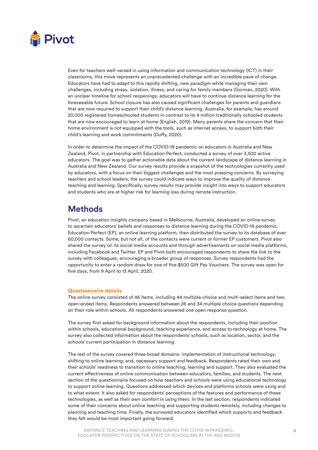

Even for teachers well-versed in using information and communication technology (ICT) in their classrooms, this move represents an unprecedented challenge with an incredible pace of change. Educators have had to adapt to this rapidly shifting, new paradigm while managing their own challenges, including stress, isolation, illness, and caring for family members (Gorman, 2020). With an unclear timeline for school reopenings, educators will have to continue distance learning for the foreseeable future. School closure has also caused significant challenges for parents and guardians that are now required to support their child's distance learning. Australia, for example, has around 20,000 registered homeschooled students in contrast to its 4 million traditionally schooled students that are now encouraged to learn at home (English, 2019). Many parents share the concern that their home environment is not equipped with the tools, such as internet access, to support both their child's learning and work commitments (Duffy, 2020).

In order to determine the impact of the COVID-19 pandemic on educators in Australia and New Zealand, Pivot, in partnership with Education Perfect, conducted a survey of over 3,500 active educators. The goal was to gather actionable data about the current landscape of distance learning in Australia and New Zealand. Our survey results provide a snapshot of the technologies currently used by educators, with a focus on their biggest challenges and the most pressing concerns. By surveying teachers and school leaders, the survey could indicate ways to improve the quality of distance teaching and learning. Specifically, survey results may provide insight into ways to support educators and students who are at higher risk for learning loss during remote instruction.

### **Methods**

Pivot, an education insights company based in Melbourne, Australia, developed an online survey to ascertain educators' beliefs and responses to distance learning during the COVID-19 pandemic. Education Perfect (EP), an online learning platform, then distributed the survey to its database of over 60,000 contacts. Some, but not all, of the contacts were current or former EP customers. Pivot also shared the survey on its social media accounts and through advertisements on social media platforms, including Facebook and Twitter. EP and Pivot both encouraged respondents to share the link to the survey with colleagues, encouraging a broader group of responses. Survey respondents had the opportunity to enter a random draw for one of five \$500 Gift Pay Vouchers. The survey was open for five days, from 9 April to 13 April, 2020.

#### Questionnaire details

The online survey consisted of 46 items, including 44 multiple-choice and multi-select items and two open-ended items. Respondents answered between 26 and 34 multiple choice questions depending on their role within schools. All respondents answered one open response question.

The survey first asked for background information about the respondents, including their position within schools, educational background, teaching experience, and access to technology at home. The survey also collected information about the respondents' schools, such as location, sector, and the schools' current participation in distance learning.

The rest of the survey covered three broad domains: implementation of instructional technology; shifting to online learning; and, necessary support and feedback. Respondents rated their own and their schools' readiness to transition to online teaching, learning and support. They also evaluated the current effectiveness of online communication between educators, families, and students. The next section of the questionnaire focused on how teachers and schools were using educational technology to support online learning. Questions addressed which devices and platforms schools were using and to what extent. It also asked for respondents' perceptions of the features and performance of these technologies, as well as their own comfort in using them. In the last section, respondents indicated some of their concerns about online teaching and supporting students remotely, including changes to planning and teaching time. Finally, the surveyed educators identified which supports and feedback they felt would be most important going forward.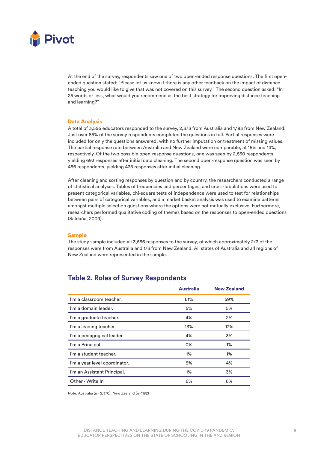

At the end of the survey, respondents saw one of two open-ended response questions. The first openended question stated: "Please let us know if there is any other feedback on the impact of distance teaching you would like to give that was not covered on this survey." The second question asked: "In 25 words or less, what would you recommend as the best strategy for improving distance teaching and learning?"

#### Data Analysis

A total of 3,556 educators responded to the survey, 2,373 from Australia and 1,183 from New Zealand. Just over 85% of the survey respondents completed the questions in full. Partial responses were included for only the questions answered, with no further imputation or treatment of missing values. The partial response rate between Australia and New Zealand were comparable, at 16% and 14%, respectively. Of the two possible open-response questions, one was seen by 2,550 respondents, yielding 693 responses after initial data cleaning. The second open-response question was seen by 456 respondents, yielding 438 responses after initial cleaning.

After cleaning and sorting responses by question and by country, the researchers conducted a range of statistical analyses. Tables of frequencies and percentages, and cross-tabulations were used to present categorical variables, chi-square tests of independence were used to test for relationships between pairs of categorical variables, and a market basket analysis was used to examine patterns amongst multiple selection questions where the options were not mutually exclusive. Furthermore, researchers performed qualitative coding of themes based on the responses to open-ended questions (Saldaña, 2009).

#### Sample

The study sample included all 3,556 responses to the survey, of which approximately 2/3 of the responses were from Australia and 1/3 from New Zealand. All states of Australia and all regions of New Zealand were represented in the sample.

### **Table 2. Roles of Survey Respondents**

|                               | <b>Australia</b> | <b>New Zealand</b> |
|-------------------------------|------------------|--------------------|
| I'm a classroom teacher.      | 61%              | 59%                |
| I'm a domain leader.          | 5%               | 5%                 |
| I'm a graduate teacher.       | 4%               | 2%                 |
| I'm a leading teacher.        | 13%              | 17%                |
| I'm a pedagogical leader.     | 4%               | 3%                 |
| I'm a Principal.              | 0%               | 1%                 |
| I'm a student teacher.        | 1%               | 1%                 |
| I'm a year level coordinator. | 5%               | 4%                 |
| I'm an Assistant Principal.   | 1%               | 3%                 |
| Other - Write In              | 6%               | 6%                 |

Note. Australia (n= 2,370), New Zealand (n=1182)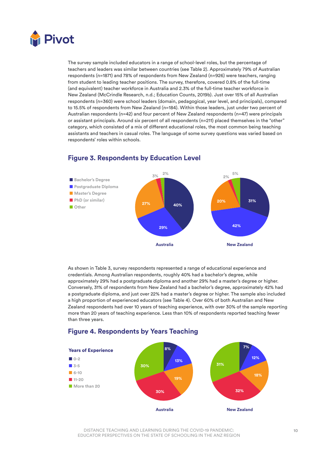

The survey sample included educators in a range of school-level roles, but the percentage of teachers and leaders was similar between countries (see Table 2). Approximately 79% of Australian respondents (n=1871) and 78% of respondents from New Zealand (n=926) were teachers, ranging from student to leading teacher positions. The survey, therefore, covered 0.8% of the full-time (and equivalent) teacher workforce in Australia and 2.3% of the full-time teacher workforce in New Zealand (McCrindle Research, n.d.; Education Counts, 2019b). Just over 15% of all Australian respondents (n=360) were school leaders (domain, pedagogical, year level, and principals), compared to 15.5% of respondents from New Zealand (n=184). Within those leaders, just under two percent of Australian respondents (n=42) and four percent of New Zealand respondents (n=47) were principals or assistant principals. Around six percent of all respondents (n=211) placed themselves in the "other" category, which consisted of a mix of different educational roles, the most common being teaching assistants and teachers in casual roles. The language of some survey questions was varied based on respondents' roles within schools.



### **Figure 3. Respondents by Education Level**

As shown in Table 3, survey respondents represented a range of educational experience and credentials. Among Australian respondents, roughly 40% had a bachelor's degree, while approximately 29% had a postgraduate diploma and another 29% had a master's degree or higher. Conversely, 31% of respondents from New Zealand had a bachelor's degree, approximately 42% had a postgraduate diploma, and just over 22% had a master's degree or higher. The sample also included a high proportion of experienced educators (see Table 4). Over 60% of both Australian and New Zealand respondents had over 10 years of teaching experience, with over 30% of the sample reporting more than 20 years of teaching experience. Less than 10% of respondents reported teaching fewer than three years.



### **Figure 4. Respondents by Years Teaching**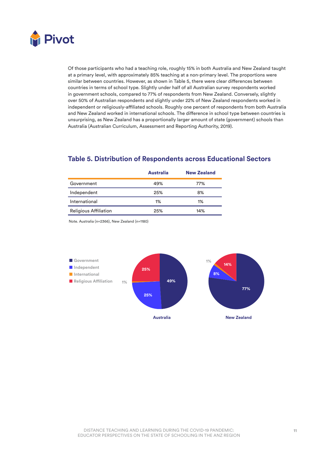

Of those participants who had a teaching role, roughly 15% in both Australia and New Zealand taught at a primary level, with approximately 85% teaching at a non-primary level. The proportions were similar between countries. However, as shown in Table 5, there were clear differences between countries in terms of school type. Slightly under half of all Australian survey respondents worked in government schools, compared to 77% of respondents from New Zealand. Conversely, slightly over 50% of Australian respondents and slightly under 22% of New Zealand respondents worked in independent or religiously-affiliated schools. Roughly one percent of respondents from both Australia and New Zealand worked in international schools. The difference in school type between countries is unsurprising, as New Zealand has a proportionally larger amount of state (government) schools than Australia (Australian Curriculum, Assessment and Reporting Authority, 2019).

### **Table 5. Distribution of Respondents across Educational Sectors**

|                              | <b>Australia</b> | <b>New Zealand</b> |
|------------------------------|------------------|--------------------|
| Government                   | 49%              | 77%                |
| Independent                  | 25%              | 8%                 |
| International                | 1%               | 1%                 |
| <b>Religious Affiliation</b> | 25%              | 14%                |

Note. Australia (n=2366), New Zealand (n=1180)

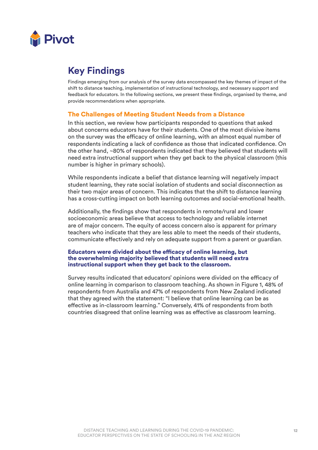

### **Key Findings**

Findings emerging from our analysis of the survey data encompassed the key themes of impact of the shift to distance teaching, implementation of instructional technology, and necessary support and feedback for educators. In the following sections, we present these findings, organised by theme, and provide recommendations when appropriate.

### The Challenges of Meeting Student Needs from a Distance

In this section, we review how participants responded to questions that asked about concerns educators have for their students. One of the most divisive items on the survey was the efficacy of online learning, with an almost equal number of respondents indicating a lack of confidence as those that indicated confidence. On the other hand, ~80% of respondents indicated that they believed that students will need extra instructional support when they get back to the physical classroom (this number is higher in primary schools).

While respondents indicate a belief that distance learning will negatively impact student learning, they rate social isolation of students and social disconnection as their two major areas of concern. This indicates that the shift to distance learning has a cross-cutting impact on both learning outcomes and social-emotional health.

Additionally, the findings show that respondents in remote/rural and lower socioeconomic areas believe that access to technology and reliable internet are of major concern. The equity of access concern also is apparent for primary teachers who indicate that they are less able to meet the needs of their students, communicate effectively and rely on adequate support from a parent or guardian.

### Educators were divided about the efficacy of online learning, but the overwhelming majority believed that students will need extra instructional support when they get back to the classroom.

Survey results indicated that educators' opinions were divided on the efficacy of online learning in comparison to classroom teaching. As shown in Figure 1, 48% of respondents from Australia and 47% of respondents from New Zealand indicated that they agreed with the statement: "I believe that online learning can be as effective as in-classroom learning." Conversely, 41% of respondents from both countries disagreed that online learning was as effective as classroom learning.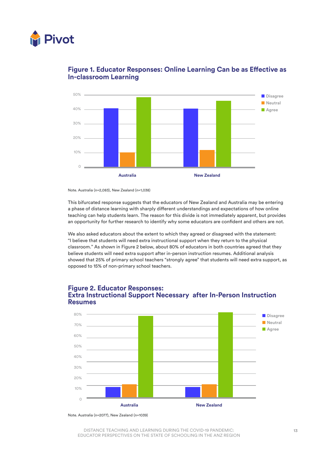



### **Figure 1. Educator Responses: Online Learning Can be as Effective as In-classroom Learning**

This bifurcated response suggests that the educators of New Zealand and Australia may be entering a phase of distance learning with sharply different understandings and expectations of how online teaching can help students learn. The reason for this divide is not immediately apparent, but provides an opportunity for further research to identify why some educators are confident and others are not.

We also asked educators about the extent to which they agreed or disagreed with the statement: "I believe that students will need extra instructional support when they return to the physical classroom." As shown in Figure 2 below, about 80% of educators in both countries agreed that they believe students will need extra support after in-person instruction resumes. Additional analysis showed that 25% of primary school teachers "strongly agree" that students will need extra support, as opposed to 15% of non-primary school teachers.

### **Figure 2. Educator Responses: Extra Instructional Support Necessary after In-Person Instruction Resumes**



Note. Australia (n=2077), New Zealand (n=1039)

Note. Australia (n=2,083), New Zealand (n=1,038)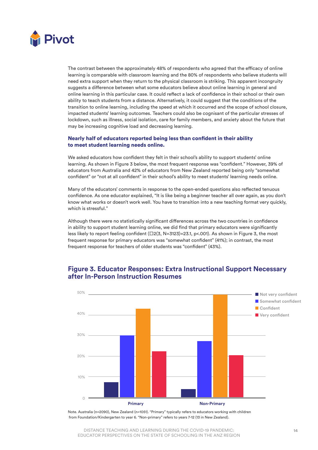

The contrast between the approximately 48% of respondents who agreed that the efficacy of online learning is comparable with classroom learning and the 80% of respondents who believe students will need extra support when they return to the physical classroom is striking. This apparent incongruity suggests a difference between what some educators believe about online learning in general and online learning in this particular case. It could reflect a lack of confidence in their school or their own ability to teach students from a distance. Alternatively, it could suggest that the conditions of the transition to online learning, including the speed at which it occurred and the scope of school closure, impacted students' learning outcomes. Teachers could also be cognisant of the particular stresses of lockdown, such as illness, social isolation, care for family members, and anxiety about the future that may be increasing cognitive load and decreasing learning.

#### Nearly half of educators reported being less than confident in their ability to meet student learning needs online.

We asked educators how confident they felt in their school's ability to support students' online learning. As shown in Figure 3 below, the most frequent response was "confident." However, 39% of educators from Australia and 42% of educators from New Zealand reported being only "somewhat confident" or "not at all confident" in their school's ability to meet students' learning needs online.

Many of the educators' comments in response to the open-ended questions also reflected tenuous confidence. As one educator explained, "It is like being a beginner teacher all over again, as you don't know what works or doesn't work well. You have to transition into a new teaching format very quickly, which is stressful."

Although there were no statistically significant differences across the two countries in confidence in ability to support student learning online, we did find that primary educators were significantly less likely to report feeling confident (□2(3, N=3123)=23.1, p<.001). As shown in Figure 3, the most frequent response for primary educators was "somewhat confident" (41%); in contrast, the most frequent response for teachers of older students was "confident" (43%).



### **Figure 3. Educator Responses: Extra Instructional Support Necessary after In-Person Instruction Resumes**

Note. Australia (n=2090), New Zealand (n=1051). "Primary" typically refers to educators working with children from Foundation/Kindergarten to year 6. "Non-primary" refers to years 7-12 (13 in New Zealand).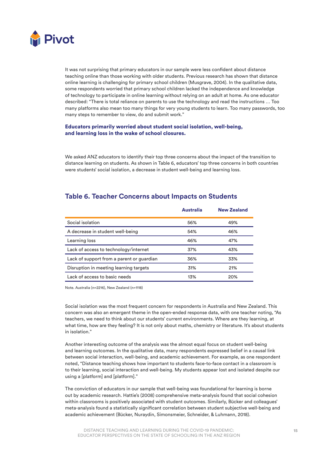

It was not surprising that primary educators in our sample were less confident about distance teaching online than those working with older students. Previous research has shown that distance online learning is challenging for primary school children (Musgrave, 2004). In the qualitative data, some respondents worried that primary school children lacked the independence and knowledge of technology to participate in online learning without relying on an adult at home. As one educator described: "There is total reliance on parents to use the technology and read the instructions … Too many platforms also mean too many things for very young students to learn. Too many passwords, too many steps to remember to view, do and submit work."

#### Educators primarily worried about student social isolation, well-being, and learning loss in the wake of school closures.

We asked ANZ educators to identify their top three concerns about the impact of the transition to distance learning on students. As shown in Table 6, educators' top three concerns in both countries were students' social isolation, a decrease in student well-being and learning loss.

|                                           | <b>Australia</b> | <b>New Zealand</b> |
|-------------------------------------------|------------------|--------------------|
| Social isolation                          | 56%              | 49%                |
| A decrease in student well-being          | 54%              | 46%                |
| Learning loss                             | 46%              | 47%                |
| Lack of access to technology/internet     | 37%              | 43%                |
| Lack of support from a parent or guardian | 36%              | 33%                |
| Disruption in meeting learning targets    | 31%              | 21%                |
| Lack of access to basic needs             | 13%              | 20%                |

### **Table 6. Teacher Concerns about Impacts on Students**

Note. Australia (n=2216), New Zealand (n=1118)

Social isolation was the most frequent concern for respondents in Australia and New Zealand. This concern was also an emergent theme in the open-ended response data, with one teacher noting, "As teachers, we need to think about our students' current environments. Where are they learning, at what time, how are they feeling? It is not only about maths, chemistry or literature. It's about students in isolation."

Another interesting outcome of the analysis was the almost equal focus on student well-being and learning outcomes. In the qualitative data, many respondents expressed belief in a causal link between social interaction, well-being, and academic achievement. For example, as one respondent noted, "Distance teaching shows how important to students face-to-face contact in a classroom is to their learning, social interaction and well-being. My students appear lost and isolated despite our using a [platform] and [platform]."

The conviction of educators in our sample that well-being was foundational for learning is borne out by academic research. Hattie's (2008) comprehensive meta-analysis found that social cohesion within classrooms is positively associated with student outcomes. Similarly, Bücker and colleagues' meta-analysis found a statistically significant correlation between student subjective well-being and academic achievement (Bücker, Nuraydin, Simonsmeier, Schneider, & Luhmann, 2018).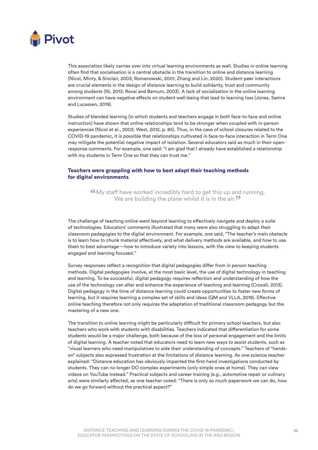

This association likely carries over into virtual learning environments as well. Studies in online learning often find that socialisation is a central obstacle in the transition to online and distance learning (Nicol, Minty, & Sinclair, 2003; Romanowski, 2001; Zhang and Lin, 2020). Student-peer interactions are crucial elements in the design of distance learning to build solidarity, trust and community among students (Ni, 2013; Rovai and Barnum, 2003). A lack of socialisation in the online learning environment can have negative effects on student well-being that lead to learning loss (Jones, Samra and Lucassen, 2019).

Studies of blended learning (in which students and teachers engage in both face-to-face and online instruction) have shown that online relationships tend to be stronger when coupled with in-person experiences (Nicol et al., 2003; West, 2012, p. 85). Thus, in the case of school closures related to the COVID-19 pandemic, it is possible that relationships cultivated in face-to-face interaction in Term One may mitigate the potential negative impact of isolation. Several educators said as much in their openresponse comments. For example, one said: "I am glad that I already have established a relationship with my students in Term One so that they can trust me."

#### Teachers were grappling with how to best adapt their teaching methods for digital environments.

6My staff have worked incredibly hard to get this up and running. We are building the plane whilst it is in the air.<sup>99</sup>

The challenge of teaching online went beyond learning to effectively navigate and deploy a suite of technologies. Educators' comments illustrated that many were also struggling to adapt their classroom pedagogies to the digital environment. For example, one said, "The teacher's main obstacle is to learn how to chunk material effectively, and what delivery methods are available, and how to use them to best advantage—how to introduce variety into lessons, with the view to keeping students engaged and learning focused."

Survey responses reflect a recognition that digital pedagogies differ from in person teaching methods. Digital pedagogies involve, at the most basic level, the use of digital technology in teaching and learning. To be successful, digital pedagogy requires reflection and understanding of how the use of the technology can alter and enhance the experience of teaching and learning (Croxall, 2013). Digital pedagogy in the time of distance learning could create opportunities to foster new forms of learning, but it requires learning a complex set of skills and ideas (QM and VLLA, 2019). Effective online teaching therefore not only requires the adaptation of traditional classroom pedagogy but the mastering of a new one.

The transition to online learning might be particularly difficult for primary school teachers, but also teachers who work with students with disabilities. Teachers indicated that differentiation for some students would be a major challenge, both because of the loss of personal engagement and the limits of digital learning. A teacher noted that educators need to learn new ways to assist students, such as "visual learners who need manipulatives to aide their understanding of concepts." Teachers of "handson" subjects also expressed frustration at the limitations of distance learning. As one science teacher explained: "Distance education has obviously impacted the first-hand investigations conducted by students. They can no longer DO complex experiments (only simple ones at home). They can view videos on YouTube instead." Practical subjects and career training (e.g., automotive repair or culinary arts) were similarly affected, as one teacher noted: "There is only so much paperwork we can do, how do we go forward without the practical aspect?"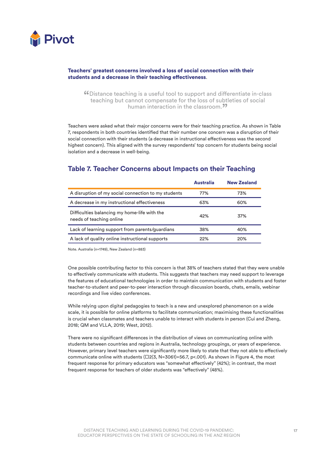

#### Teachers' greatest concerns involved a loss of social connection with their students and a decrease in their teaching effectiveness.

"Distance teaching is a useful tool to support and differentiate in-class teaching but cannot compensate for the loss of subtleties of social human interaction in the classroom.<sup>99</sup>

Teachers were asked what their major concerns were for their teaching practice. As shown in Table 7, respondents in both countries identified that their number one concern was a disruption of their social connection with their students (a decrease in instructional effectiveness was the second highest concern). This aligned with the survey respondents' top concern for students being social isolation and a decrease in well-being.

### **Table 7. Teacher Concerns about Impacts on their Teaching**

|                                                                          | <b>Australia</b> | <b>New Zealand</b> |
|--------------------------------------------------------------------------|------------------|--------------------|
| A disruption of my social connection to my students                      | 77%              | 73%                |
| A decrease in my instructional effectiveness                             | 63%              | 60%                |
| Difficulties balancing my home-life with the<br>needs of teaching online | 42%              | 37%                |
| Lack of learning support from parents/guardians                          | 38%              | 40%                |
| A lack of quality online instructional supports                          | 22%              | 20%                |

Note. Australia (n=1749), New Zealand (n=883)

One possible contributing factor to this concern is that 38% of teachers stated that they were unable to effectively communicate with students. This suggests that teachers may need support to leverage the features of educational technologies in order to maintain communication with students and foster teacher-to-student and peer-to-peer interaction through discussion boards, chats, emails, webinar recordings and live video conferences.

While relying upon digital pedagogies to teach is a new and unexplored phenomenon on a wide scale, it is possible for online platforms to facilitate communication; maximising these functionalities is crucial when classmates and teachers unable to interact with students in person (Cui and Zheng, 2018; QM and VLLA, 2019; West, 2012).

There were no significant differences in the distribution of views on communicating online with students between countries and regions in Australia, technology groupings, or years of experience. However, primary level teachers were significantly more likely to state that they not able to effectively communicate online with students  $(\square 2(3, N=3061)=56.7, p<0.01)$ . As shown in Figure 4, the most frequent response for primary educators was "somewhat effectively" (42%); in contrast, the most frequent response for teachers of older students was "effectively" (48%).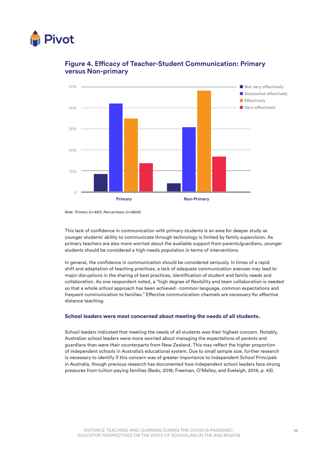



### **Figure 4. Efficacy of Teacher-Student Communication: Primary versus Non-primary**

This lack of confidence in communication with primary students is an area for deeper study as younger students' ability to communicate through technology is limited by family supervision. As primary teachers are also more worried about the available support from parents/guardians, younger students should be considered a high-needs population in terms of interventions.

In general, the confidence in communication should be considered seriously. In times of a rapid shift and adaptation of teaching practices, a lack of adequate communication avenues may lead to major disruptions in the sharing of best practices, identification of student and family needs and collaboration. As one respondent noted, a "high degree of flexibility and team collaboration is needed so that a whole school approach has been achieved - common language, common expectations and frequent communication to families." Effective communication channels are necessary for effective distance teaching.

#### School leaders were most concerned about meeting the needs of all students.

School leaders indicated that meeting the needs of all students was their highest concern. Notably, Australian school leaders were more worried about managing the expectations of parents and guardians than were their counterparts from New Zealand. This may reflect the higher proportion of independent schools in Australia's educational system. Due to small sample size, further research is necessary to identify if this concern was of greater importance to Independent School Principals in Australia, though previous research has documented how independent school leaders face strong pressures from tuition-paying families (Bedo, 2018; Freeman, O'Malley, and Eveleigh, 2014, p. 43).

*Note. Primary (n=457), Non-primary (n=2604)*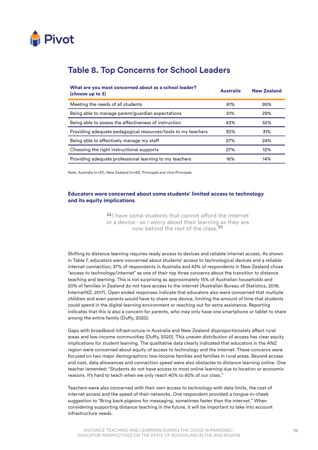

### **Table 8. Top Concerns for School Leaders**

| What are you most concerned about as a school leader?<br>(choose up to 3) | <b>Australia</b> | <b>New Zealand</b> |
|---------------------------------------------------------------------------|------------------|--------------------|
| Meeting the needs of all students                                         | 81%              | 95%                |
| Being able to manage parent/guardian expectations                         | 51%              | 29%                |
| Being able to assess the effectiveness of instruction                     | 43%              | 52%                |
| Providing adequate pedagogical resources/tools to my teachers             | 30%              | 31%                |
| Being able to effectively manage my staff                                 | 27%              | 24%                |
| Choosing the right instructional supports                                 | 27%              | 12%                |
| Providing adequate professional learning to my teachers                   | 16%              | 14%                |

Note. Australia (n=37), New Zealand (n=42). Principals and Vice-Principals

#### Educators were concerned about some students' limited access to technology and its equity implications.

**"**I have some students that cannot afford the internet or a device - so I worry about their learning as they are now behind the rest of the class.<sup>99</sup>

Shifting to distance learning requires ready access to devices and reliable internet access. As shown in Table 7, educators were concerned about students' access to technological devices and a reliable internet connection; 37% of respondents in Australia and 43% of respondents in New Zealand chose "access to technology/internet" as one of their top three concerns about the transition to distance teaching and learning. This is not surprising as approximately 15% of Australian households and 20% of families in Zealand do not have access to the internet (Australian Bureau of Statistics, 2018; InternetNZ, 2017). Open ended responses indicate that educators also were concerned that multiple children and even parents would have to share one device, limiting the amount of time that students could spend in the digital learning environment or reaching out for extra assistance. Reporting indicates that this is also a concern for parents, who may only have one smartphone or tablet to share among the entire family (Duffy, 2020).

Gaps with broadband infrastructure in Australia and New Zealand disproportionately affect rural areas and low-income communities (Duffy, 2020). This uneven distribution of access has clear equity implications for student learning. The qualitative data clearly indicated that educators in the ANZ region were concerned about equity of access to technology and the internet. These concerns were focused on two major demographics: low-income families and families in rural areas. Beyond access and cost, data allowances and connection speed were also obstacles to distance learning online. One teacher lamented: "Students do not have access to most online learning due to location or economic reasons. It's hard to teach when we only reach 40% to 60% of our class."

Teachers were also concerned with their own access to technology with data limits, the cost of internet access and the speed of their networks. One respondent provided a tongue-in-cheek suggestion to "Bring back pigeons for messaging, sometimes faster than the internet." When considering supporting distance teaching in the future, it will be important to take into account infrastructure needs.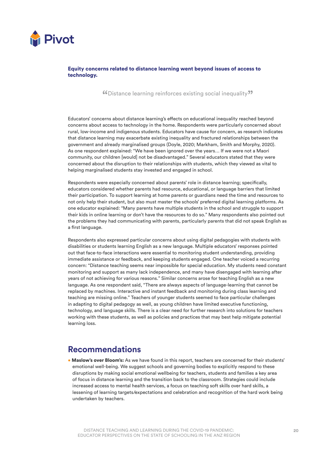

Equity concerns related to distance learning went beyond issues of access to technology.

"Distance learning reinforces existing social inequality"

Educators' concerns about distance learning's effects on educational inequality reached beyond concerns about access to technology in the home. Respondents were particularly concerned about rural, low-income and indigenous students. Educators have cause for concern, as research indicates that distance learning may exacerbate existing inequality and fractured relationships between the government and already marginalised groups (Doyle, 2020; Markham, Smith and Morphy, 2020). As one respondent explained: "We have been ignored over the years… If we were not a Maori community, our children [would] not be disadvantaged." Several educators stated that they were concerned about the disruption to their relationships with students, which they viewed as vital to helping marginalised students stay invested and engaged in school.

Respondents were especially concerned about parents' role in distance learning; specifically, educators considered whether parents had resource, educational, or language barriers that limited their participation. To support learning at home parents or guardians need the time and resources to not only help their student, but also must master the schools' preferred digital learning platforms. As one educator explained: "Many parents have multiple students in the school and struggle to support their kids in online learning or don't have the resources to do so." Many respondents also pointed out the problems they had communicating with parents, particularly parents that did not speak English as a first language.

Respondents also expressed particular concerns about using digital pedagogies with students with disabilities or students learning English as a new language. Multiple educators' responses pointed out that face-to-face interactions were essential to monitoring student understanding, providing immediate assistance or feedback, and keeping students engaged. One teacher voiced a recurring concern: "Distance teaching seems near impossible for special education. My students need constant monitoring and support as many lack independence, and many have disengaged with learning after years of not achieving for various reasons." Similar concerns arose for teaching English as a new language. As one respondent said, "There are always aspects of language-learning that cannot be replaced by machines. Interactive and instant feedback and monitoring during class learning and teaching are missing online." Teachers of younger students seemed to face particular challenges in adapting to digital pedagogy as well, as young children have limited executive functioning, technology, and language skills. There is a clear need for further research into solutions for teachers working with these students, as well as policies and practices that may best help mitigate potential learning loss.

### **Recommendations**

• Maslow's over Bloom's: As we have found in this report, teachers are concerned for their students' emotional well-being. We suggest schools and governing bodies to explicitly respond to these disruptions by making social emotional wellbeing for teachers, students and families a key area of focus in distance learning and the transition back to the classroom. Strategies could include increased access to mental health services, a focus on teaching soft skills over hard skills, a lessening of learning targets/expectations and celebration and recognition of the hard work being undertaken by teachers.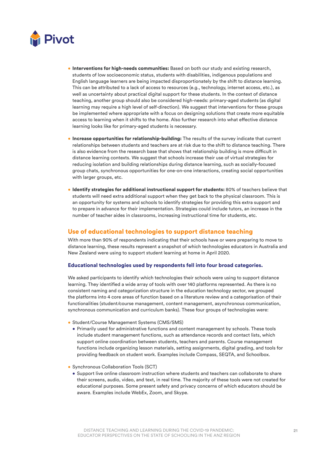

- Interventions for high-needs communities: Based on both our study and existing research, students of low socioeconomic status, students with disabilities, indigenous populations and English language learners are being impacted disproportionately by the shift to distance learning. This can be attributed to a lack of access to resources (e.g., technology, internet access, etc.), as well as uncertainty about practical digital support for these students. In the context of distance teaching, another group should also be considered high-needs: primary-aged students (as digital learning may require a high level of self-direction). We suggest that interventions for these groups be implemented where appropriate with a focus on designing solutions that create more equitable access to learning when it shifts to the home. Also further research into what effective distance learning looks like for primary-aged students is necessary.
- Increase opportunities for relationship-building: The results of the survey indicate that current relationships between students and teachers are at risk due to the shift to distance teaching. There is also evidence from the research base that shows that relationship building is more difficult in distance learning contexts. We suggest that schools increase their use of virtual strategies for reducing isolation and building relationships during distance learning, such as socially-focused group chats, synchronous opportunities for one-on-one interactions, creating social opportunities with larger groups, etc.
- Identify strategies for additional instructional support for students: 80% of teachers believe that students will need extra additional support when they get back to the physical classroom. This is an opportunity for systems and schools to identify strategies for providing this extra support and to prepare in advance for their implementation. Strategies could include tutors, an increase in the number of teacher aides in classrooms, increasing instructional time for students, etc.

### Use of educational technologies to support distance teaching

With more than 90% of respondents indicating that their schools have or were preparing to move to distance learning, these results represent a snapshot of which technologies educators in Australia and New Zealand were using to support student learning at home in April 2020.

#### Educational technologies used by respondents fell into four broad categories.

We asked participants to identify which technologies their schools were using to support distance learning. They identified a wide array of tools with over 140 platforms represented. As there is no consistent naming and categorization structure in the education technology sector, we grouped the platforms into 4 core areas of function based on a literature review and a categorisation of their functionalities (student/course management, content management, asynchronous communication, synchronous communication and curriculum banks). These four groups of technologies were:

- Student/Course Management Systems (CMS/SMS)
	- Primarily used for administrative functions and content management by schools. These tools include student management functions, such as attendance records and contact lists, which support online coordination between students, teachers and parents. Course management functions include organizing lesson materials, setting assignments, digital grading, and tools for providing feedback on student work. Examples include Compass, SEQTA, and Schoolbox.
- Synchronous Collaboration Tools (SCT)
- Support live online classroom instruction where students and teachers can collaborate to share their screens, audio, video, and text, in real time. The majority of these tools were not created for educational purposes. Some present safety and privacy concerns of which educators should be aware. Examples include WebEx, Zoom, and Skype.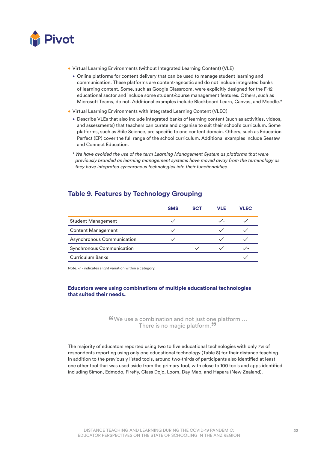

- Virtual Learning Environments (without Integrated Learning Content) (VLE)
	- Online platforms for content delivery that can be used to manage student learning and communication. These platforms are content-agnostic and do not include integrated banks of learning content. Some, such as Google Classroom, were explicitly designed for the F-12 educational sector and include some student/course management features. Others, such as Microsoft Teams, do not. Additional examples include Blackboard Learn, Canvas, and Moodle.\*
- Virtual Learning Environments with Integrated Learning Content (VLEC)
	- Describe VLEs that also include integrated banks of learning content (such as activities, videos, and assessments) that teachers can curate and organise to suit their school's curriculum. Some platforms, such as Stile Science, are specific to one content domain. Others, such as Education Perfect (EP) cover the full range of the school curriculum. Additional examples include Seesaw and Connect Education.

*\* We have avoided the use of the term Learning Management System as platforms that were previously branded as learning management systems have moved away from the terminology as they have integrated synchronous technologies into their functionalities.* 

### **Table 9. Features by Technology Grouping**

|                            | <b>SMS</b> | <b>SCT</b> | VLE | VLEC |
|----------------------------|------------|------------|-----|------|
| <b>Student Management</b>  |            |            |     |      |
| <b>Content Management</b>  |            |            |     |      |
| Asynchronous Communication |            |            |     |      |
| Synchronous Communication  |            |            |     |      |
| <b>Curriculum Banks</b>    |            |            |     |      |

Note. ✓- indicates slight variation within a category.

#### Educators were using combinations of multiple educational technologies that suited their needs.

"We use a combination and not just one platform … There is no magic platform.<sup>99</sup>

The majority of educators reported using two to five educational technologies with only 7% of respondents reporting using only one educational technology (Table 8) for their distance teaching. In addition to the previously listed tools, around two-thirds of participants also identified at least one other tool that was used aside from the primary tool, with close to 100 tools and apps identified including Simon, Edmodo, Firefly, Class Dojo, Loom, Day Map, and Hapara (New Zealand).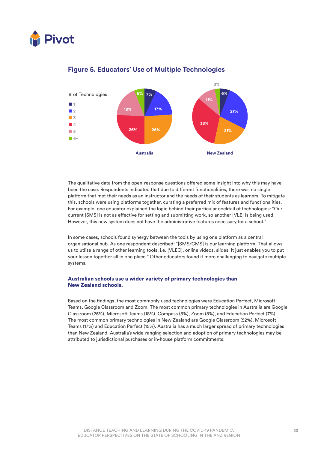



### **Figure 5. Educators' Use of Multiple Technologies**

The qualitative data from the open-response questions offered some insight into why this may have been the case. Respondents indicated that due to different functionalities, there was no single platform that met their needs as an instructor and the needs of their students as learners. To mitigate this, schools were using platforms together, curating a preferred mix of features and functionalities. For example, one educator explained the logic behind their particular cocktail of technologies: "Our current [SMS] is not as effective for setting and submitting work, so another [VLE] is being used. However, this new system does not have the administrative features necessary for a school."

In some cases, schools found synergy between the tools by using one platform as a central organisational hub. As one respondent described: "[SMS/CMS] is our learning platform. That allows us to utlise a range of other learning tools, i.e. [VLEC], online videos, slides. It just enables you to put your lesson together all in one place." Other educators found it more challenging to navigate multiple systems.

#### Australian schools use a wider variety of primary technologies than New Zealand schools.

Based on the findings, the most commonly used technologies were Education Perfect, Microsoft Teams, Google Classroom and Zoom. The most common primary technologies in Australia are Google Classroom (25%), Microsoft Teams (18%), Compass (8%), Zoom (8%), and Education Perfect (7%). The most common primary technologies in New Zealand are Google Classroom (52%), Microsoft Teams (17%) and Education Perfect (15%). Australia has a much larger spread of primary technologies than New Zealand. Australia's wide-ranging selection and adoption of primary technologies may be attributed to jurisdictional purchases or in-house platform commitments.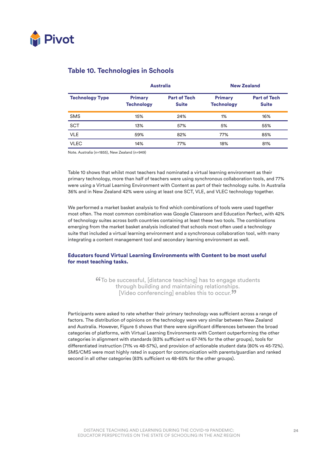

|                        | <b>Australia</b>                    |                                     |                                     | <b>New Zealand</b>                  |
|------------------------|-------------------------------------|-------------------------------------|-------------------------------------|-------------------------------------|
| <b>Technology Type</b> | <b>Primary</b><br><b>Technology</b> | <b>Part of Tech</b><br><b>Suite</b> | <b>Primary</b><br><b>Technology</b> | <b>Part of Tech</b><br><b>Suite</b> |
| <b>SMS</b>             | 15%                                 | 24%                                 | 1%                                  | 16%                                 |
| <b>SCT</b>             | 13%                                 | 57%                                 | 5%                                  | 55%                                 |
| <b>VLE</b>             | 59%                                 | 82%                                 | 77%                                 | 85%                                 |
| <b>VLEC</b>            | 14%                                 | 77%                                 | 18%                                 | 81%                                 |

### **Table 10. Technologies in Schools**

Note. Australia (n=1855), New Zealand (n=949)

Table 10 shows that whilst most teachers had nominated a virtual learning environment as their primary technology, more than half of teachers were using synchronous collaboration tools, and 77% were using a Virtual Learning Environment with Content as part of their technology suite. In Australia 36% and in New Zealand 42% were using at least one SCT, VLE, and VLEC technology together.

We performed a market basket analysis to find which combinations of tools were used together most often. The most common combination was Google Classroom and Education Perfect, with 42% of technology suites across both countries containing at least these two tools. The combinations emerging from the market basket analysis indicated that schools most often used a technology suite that included a virtual learning environment and a synchronous collaboration tool, with many integrating a content management tool and secondary learning environment as well.

### Educators found Virtual Learning Environments with Content to be most useful for most teaching tasks.

"To be successful, [distance teaching] has to engage students through building and maintaining relationships. [Video conferencing] enables this to occur. $"$ 

Participants were asked to rate whether their primary technology was sufficient across a range of factors. The distribution of opinions on the technology were very similar between New Zealand and Australia. However, Figure 5 shows that there were significant differences between the broad categories of platforms, with Virtual Learning Environments with Content outperforming the other categories in alignment with standards (83% sufficient vs 67-74% for the other groups), tools for differentiated instruction (71% vs 48-57%), and provision of actionable student data (80% vs 45-72%). SMS/CMS were most highly rated in support for communication with parents/guardian and ranked second in all other categories (83% sufficient vs 48-65% for the other groups).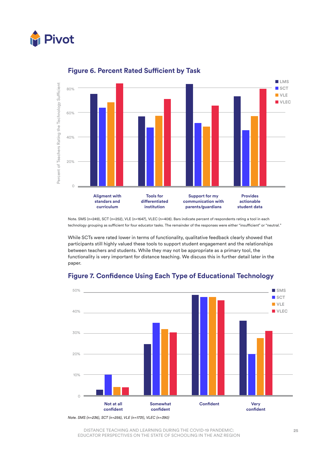



### **Figure 6. Percent Rated Sufficient by Task**

Note. SMS (n=249), SCT (n=252), VLE (n=1647), VLEC (n=408). Bars indicate percent of respondents rating a tool in each technology grouping as sufficient for four educator tasks. The remainder of the responses were either "insufficient" or "neutral."

While SCTs were rated lower in terms of functionality, qualitative feedback clearly showed that participants still highly valued these tools to support student engagement and the relationships between teachers and students. While they may not be appropriate as a primary tool, the functionality is very important for distance teaching. We discuss this in further detail later in the paper.



### **Figure 7. Confidence Using Each Type of Educational Technology**

DISTANCE TEACHING AND LEARNING DURING THE COVID-19 PANDEMIC: EDUCATOR PERSPECTIVES ON THE STATE OF SCHOOLING IN THE ANZ REGION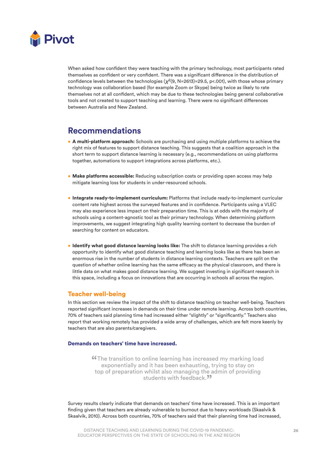

When asked how confident they were teaching with the primary technology, most participants rated themselves as confident or very confident. There was a significant difference in the distribution of confidence levels between the technologies (*X*2(9, N=2613)=29.5, p<.001), with those whose primary technology was collaboration based (for example Zoom or Skype) being twice as likely to rate themselves not at all confident, which may be due to these technologies being general collaborative tools and not created to support teaching and learning. There were no significant differences between Australia and New Zealand.

### **Recommendations**

- A multi-platform approach: Schools are purchasing and using multiple platforms to achieve the right mix of features to support distance teaching. This suggests that a coalition approach in the short term to support distance learning is necessary (e.g., recommendations on using platforms together, automations to support integrations across platforms, etc.).
- Make platforms accessible: Reducing subscription costs or providing open access may help mitigate learning loss for students in under-resourced schools.
- Integrate ready-to-implement curriculum: Platforms that include ready-to-implement curricular content rate highest across the surveyed features and in confidence. Participants using a VLEC may also experience less impact on their preparation time. This is at odds with the majority of schools using a content-agnostic tool as their primary technology. When determining platform improvements, we suggest integrating high quality learning content to decrease the burden of searching for content on educators.
- Identify what good distance learning looks like: The shift to distance learning provides a rich opportunity to identify what good distance teaching and learning looks like as there has been an enormous rise in the number of students in distance learning contexts. Teachers are split on the question of whether online learning has the same efficacy as the physical classroom, and there is little data on what makes good distance learning. We suggest investing in significant research in this space, including a focus on innovations that are occurring in schools all across the region.

### Teacher well-being

In this section we review the impact of the shift to distance teaching on teacher well-being. Teachers reported significant increases in demands on their time under remote learning. Across both countries, 70% of teachers said planning time had increased either "slightly" or "significantly." Teachers also report that working remotely has provided a wide array of challenges, which are felt more keenly by teachers that are also parents/caregivers.

#### Demands on teachers' time have increased.

**"The transition to online learning has increased my marking load** exponentially and it has been exhausting, trying to stay on top of preparation whilst also managing the admin of providing students with feedback.<sup>99</sup>

Survey results clearly indicate that demands on teachers' time have increased. This is an important finding given that teachers are already vulnerable to burnout due to heavy workloads (Skaalvik & Skaalvik, 2010). Across both countries, 70% of teachers said that their planning time had increased,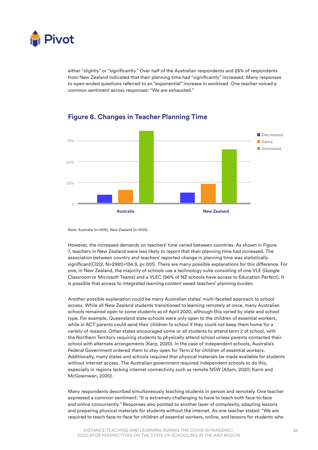

either "slightly" or "significantly." Over half of the Australian respondents and 28% of respondents from New Zealand indicated that their planning time had "significantly" increased. Many responses to open-ended questions referred to an "exponential" increase in workload. One teacher voiced a common sentiment across responses: "We are exhausted."



### **Figure 8. Changes in Teacher Planning Time**

However, the increased demands on teachers' time varied between countries. As shown in Figure 7, teachers in New Zealand were less likely to report that their planning time had increased. The association between country and teachers' reported change in planning time was statistically significant(□2(2, N=2981)=134.9, p<.001). There are many possible explanations for this difference. For one, in New Zealand, the majority of schools use a technology suite consisting of one VLE (Google Classroom or Microsoft Teams) and a VLEC (96% of NZ schools have access to Education Perfect). It is possible that access to integrated learning content eased teachers' planning burden.

Another possible explanation could be many Australian states' multi-faceted approach to school access. While all New Zealand students transitioned to learning remotely at once, many Australian schools remained open to some students as of April 2020, although this varied by state and school type. For example, Queensland state schools were only open to the children of essential workers, while in ACT parents could send their children to school if they could not keep them home for a variety of reasons. Other states encouraged some or all students to attend term 2 of school, with the Northern Territory requiring students to physically attend school unless parents contacted their school with alternate arrangements (Karp, 2020). In the case of independent schools, Australia's Federal Government ordered them to stay open for Term 2 for children of essential workers. Additionally, many states and schools required that physical materials be made available for students without internet access. The Australian government required independent schools to do this, especially in regions lacking internet connectivity such as remote NSW (Allam, 2020; Karm and McGownwan, 2020).

Many respondents described simultaneously teaching students in person and remotely. One teacher expressed a common sentiment: "It is extremely challenging to have to teach both face-to-face and online concurrently." Responses also pointed to another layer of complexity, adapting lessons and preparing physical materials for students without the internet. As one teacher stated: "We are required to teach face-to-face for children of essential workers, online, and lessons for students who

Note. Australia (n=1976), New Zealand (n=1005).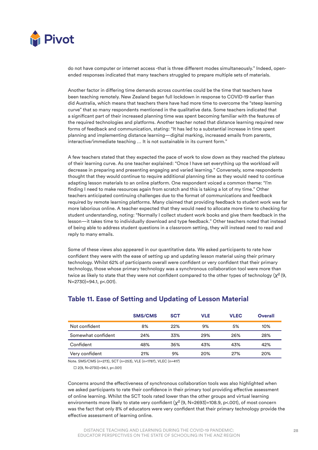

do not have computer or internet access -that is three different modes simultaneously." Indeed, openended responses indicated that many teachers struggled to prepare multiple sets of materials.

Another factor in differing time demands across countries could be the time that teachers have been teaching remotely. New Zealand began full lockdown in response to COVID-19 earlier than did Australia, which means that teachers there have had more time to overcome the "steep learning curve" that so many respondents mentioned in the qualitative data. Some teachers indicated that a significant part of their increased planning time was spent becoming familiar with the features of the required technologies and platforms. Another teacher noted that distance learning required new forms of feedback and communication, stating: "It has led to a substantial increase in time spent planning and implementing distance learning—digital marking, increased emails from parents, interactive/immediate teaching … It is not sustainable in its current form."

A few teachers stated that they expected the pace of work to slow down as they reached the plateau of their learning curve. As one teacher explained: "Once I have set everything up the workload will decrease in preparing and presenting engaging and varied learning." Conversely, some respondents thought that they would continue to require additional planning time as they would need to continue adapting lesson materials to an online platform. One respondent voiced a common theme: "I'm finding I need to make resources again from scratch and this is taking a lot of my time." Other teachers anticipated continuing challenges due to the format of communications and feedback required by remote learning platforms. Many claimed that providing feedback to student work was far more laborious online. A teacher expected that they would need to allocate more time to checking for student understanding, noting: "Normally I collect student work books and give them feedback in the lesson—it takes time to individually download and type feedback." Other teachers noted that instead of being able to address student questions in a classroom setting, they will instead need to read and reply to many emails.

Some of these views also appeared in our quantitative data. We asked participants to rate how confident they were with the ease of setting up and updating lesson material using their primary technology. Whilst 62% of participants overall were confident or very confident that their primary technology, those whose primary technology was a synchronous collaboration tool were more than twice as likely to state that they were not confident compared to the other types of technology  $(Y<sup>2</sup> (9,$ N=2730)=94.1, p<.001).

|                    | <b>SMS/CMS</b> | <b>SCT</b> | VLE | <b>VLEC</b> | <b>Overall</b> |
|--------------------|----------------|------------|-----|-------------|----------------|
| Not confident      | 8%             | 22%        | 9%  | 5%          | 10%            |
| Somewhat confident | 24%            | 33%        | 29% | 26%         | 28%            |
| Confident          | 48%            | 36%        | 43% | 43%         | 42%            |
| Very confident     | 21%            | 9%         | 20% | 27%         | 20%            |

### **Table 11. Ease of Setting and Updating of Lesson Material**

Note. SMS/CMS (n=273), SCT (n=253), VLE (n=1787), VLEC (n=417)

 $\square$  2(9, N=2730)=94.1, p<.001)

Concerns around the effectiveness of synchronous collaboration tools was also highlighted when we asked participants to rate their confidence in their primary tool providing effective assessment of online learning. Whilst the SCT tools rated lower than the other groups and virtual learning environments more likely to state very confident (*X*2 (9, N=2693)=108.9, p<.001), of most concern was the fact that only 8% of educators were very confident that their primary technology provide the effective assessment of learning online.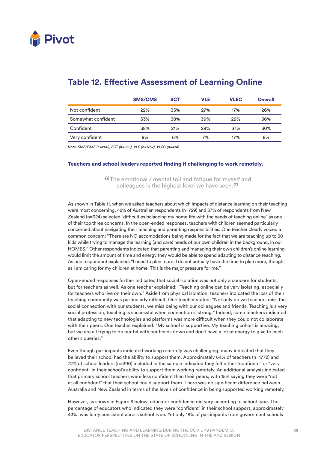

|                    | <b>SMS/CMS</b> | <b>SCT</b> | VLE | <b>VLEC</b> | <b>Overall</b> |
|--------------------|----------------|------------|-----|-------------|----------------|
| Not confident      | 22%            | 35%        | 27% | 17%         | 26%            |
| Somewhat confident | 33%            | 38%        | 39% | 29%         | 36%            |
| Confident          | 38%            | 21%        | 29% | 37%         | 30%            |
| Very confident     | 8%             | 6%         | 7%  | 17%         | 8%             |

### **Table 12. Effective Assessment of Learning Online**

*Note. SMS/CMS (n=266), SCT (n=256), VLE (n=1757), VLEC (n=414)*

#### Teachers and school leaders reported finding it challenging to work remotely.

"The emotional / mental toll and fatigue for myself and colleagues is the highest level we have seen.<sup>??</sup>

As shown in Table 11, when we asked teachers about which impacts of distance learning on their teaching were most concerning, 42% of Australian respondents (n=729) and 37% of respondents from New Zealand (n=324) selected "difficulties balancing my home-life with the needs of teaching online" as one of their top three concerns. In the open-ended responses, teachers with children seemed particularly concerned about navigating their teaching and parenting responsibilities. One teacher clearly voiced a common concern: "There are NO accomodations being made for the fact that we are teaching up to 30 kids while trying to manage the learning (and care) needs of our own children in the background, in our HOMES." Other respondents indicated that parenting and managing their own children's online learning would limit the amount of time and energy they would be able to spend adapting to distance teaching. As one respondent explained: "I need to plan more. I do not actually have the time to plan more, though, as I am caring for my children at home. This is the major pressure for me."

Open-ended responses further indicated that social isolation was not only a concern for students, but for teachers as well. As one teacher explained: "Teaching online can be very isolating, especially for teachers who live on their own." Aside from physical isolation, teachers indicated the loss of their teaching community was particularly difficult. One teacher stated: "Not only do we teachers miss the social connection with our students, we miss being with our colleagues and friends. Teaching is a very social profession, teaching is successful when connection is strong." Indeed, some teachers indicated that adapting to new technologies and platforms was more difficult when they could not collaborate with their peers. One teacher explained: "My school is supportive. My teaching cohort is amazing, but we are all trying to do our bit with our heads down and don't have a lot of energy to give to each other's queries."

Even though participants indicated working remotely was challenging, many indicated that they believed their school had the ability to support them. Approximately 64% of teachers (n=1772) and 72% of school leaders (n=390) included in the sample indicated they felt either "confident" or "very confident" in their school's ability to support them working remotely. An additional analysis indicated that primary school teachers were less confident than their peers, with 15% saying they were "not at all confident" that their school could support them. There was no significant difference between Australia and New Zealand in terms of the levels of confidence in being supported working remotely.

However, as shown in Figure 8 below, educator confidence did vary according to school type. The percentage of educators who indicated they were "confident" in their school support, approximately 43%, was fairly consistent across school type. Yet only 18% of participants from government schools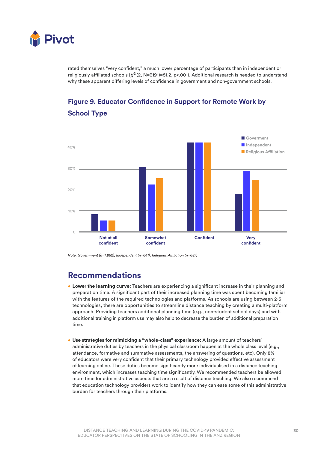

rated themselves "very confident," a much lower percentage of participants than in independent or religiously affiliated schools (*X*2 (2, N=3191)=51.2, p<.001). Additional research is needed to understand why these apparent differing levels of confidence in government and non-government schools.



### **Figure 9. Educator Confidence in Support for Remote Work by School Type**

*Note. Government (n=1,862), Independent (n=641), Religious Affiliation (n=687)*

### **Recommendations**

- Lower the learning curve: Teachers are experiencing a significant increase in their planning and preparation time. A significant part of their increased planning time was spent becoming familiar with the features of the required technologies and platforms. As schools are using between 2-5 technologies, there are opportunities to streamline distance teaching by creating a multi-platform approach. Providing teachers additional planning time (e.g., non-student school days) and with additional training in platform use may also help to decrease the burden of additional preparation time.
- Use strategies for mimicking a "whole-class" experience: A large amount of teachers' administrative duties by teachers in the physical classroom happen at the whole class level (e.g., attendance, formative and summative assessments, the answering of questions, etc). Only 8% of educators were very confident that their primary technology provided effective assessment of learning online. These duties become significantly more individualised in a distance teaching environment, which increases teaching time significantly. We recommended teachers be allowed more time for administrative aspects that are a result of distance teaching. We also recommend that education technology providers work to identify how they can ease some of this administrative burden for teachers through their platforms.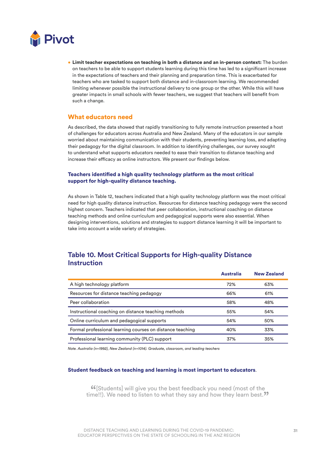

• Limit teacher expectations on teaching in both a distance and an in-person context: The burden on teachers to be able to support students learning during this time has led to a significant increase in the expectations of teachers and their planning and preparation time. This is exacerbated for teachers who are tasked to support both distance and in-classroom learning. We recommended limiting whenever possible the instructional delivery to one group or the other. While this will have greater impacts in small schools with fewer teachers, we suggest that teachers will benefit from such a change.

### What educators need

As described, the data showed that rapidly transitioning to fully remote instruction presented a host of challenges for educators across Australia and New Zealand. Many of the educators in our sample worried about maintaining communication with their students, preventing learning loss, and adapting their pedagogy for the digital classroom. In addition to identifying challenges, our survey sought to understand what supports educators needed to ease their transition to distance teaching and increase their efficacy as online instructors. We present our findings below.

#### Teachers identified a high quality technology platform as the most critical support for high-quality distance teaching.

As shown in Table 12, teachers indicated that a high quality technology platform was the most critical need for high quality distance instruction. Resources for distance teaching pedagogy were the second highest concern. Teachers indicated that peer collaboration, instructional coaching on distance teaching methods and online curriculum and pedagogical supports were also essential. When designing interventions, solutions and strategies to support distance learning it will be important to take into account a wide variety of strategies.

### **Table 10. Most Critical Supports for High-quality Distance Instruction**

|                                                           | <b>Australia</b> | <b>New Zealand</b> |
|-----------------------------------------------------------|------------------|--------------------|
| A high technology platform                                | 72%              | 63%                |
| Resources for distance teaching pedagogy                  | 66%              | 61%                |
| Peer collaboration                                        | 58%              | 48%                |
| Instructional coaching on distance teaching methods       | 55%              | 54%                |
| Online curriculum and pedagogical supports                | 54%              | 50%                |
| Formal professional learning courses on distance teaching | 40%              | 33%                |
| Professional learning community (PLC) support             | 37%              | 35%                |

*Note. Australia (n=1992), New Zealand (n=1014). Graduate, classroom, and leading teachers*

#### Student feedback on teaching and learning is most important to educators.

**"** (Students] will give you the best feedback you need (most of the me!!). We need to listen to what they say and how they learn best. time!!). We need to listen to what they say and how they learn best."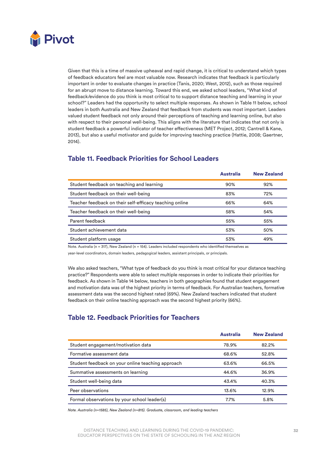

Given that this is a time of massive upheaval and rapid change, it is critical to understand which types of feedback educators feel are most valuable now. Research indicates that feedback is particularly important in order to evaluate changes in practice (Tanis, 2020; West, 2012), such as those required for an abrupt move to distance learning. Toward this end, we asked school leaders, "What kind of feedback/evidence do you think is most critical to to support distance teaching and learning in your school?" Leaders had the opportunity to select multiple responses. As shown in Table 11 below, school leaders in both Australia and New Zealand that feedback from students was most important. Leaders valued student feedback not only around their perceptions of teaching and learning online, but also with respect to their personal well-being. This aligns with the literature that indicates that not only is student feedback a powerful indicator of teacher effectiveness (MET Project, 2012; Cantrell & Kane, 2013), but also a useful motivator and guide for improving teaching practice (Hattie, 2008; Gaertner, 2014).

### **Table 11. Feedback Priorities for School Leaders**

|                                                         | <b>Australia</b> | <b>New Zealand</b> |
|---------------------------------------------------------|------------------|--------------------|
| Student feedback on teaching and learning               | 90%              | 92%                |
| Student feedback on their well-being                    | 83%              | 72%                |
| Teacher feedback on their self-efficacy teaching online | 66%              | 64%                |
| Teacher feedback on their well-being                    | 58%              | 54%                |
| Parent feedback                                         | 55%              | 55%                |
| Student achievement data                                | 53%              | 50%                |
| Student platform usage                                  | 53%              | 49%                |

Note. Australia (n = 317), New Zealand (n = 154). Leaders included respondents who identified themselves as

year-level coordinators, domain leaders, pedagogical leaders, assistant principals, or principals.

We also asked teachers, "What type of feedback do you think is most critical for your distance teaching practice?" Respondents were able to select multiple responses in order to indicate their priorities for feedback. As shown in Table 14 below, teachers in both geographies found that student engagement and motivation data was of the highest priority in terms of feedback. For Australian teachers, formative assessment data was the second highest rated (69%). New Zealand teachers indicated that student feedback on their online teaching approach was the second highest priority (66%).

### **Table 12. Feedback Priorities for Teachers**

|                                                   | <b>Australia</b> | <b>New Zealand</b> |
|---------------------------------------------------|------------------|--------------------|
| Student engagement/motivation data                | 78.9%            | 82.2%              |
| Formative assessment data                         | 68.6%            | 52.8%              |
| Student feedback on your online teaching approach | 63.6%            | 66.5%              |
| Summative assessments on learning                 | 44.6%            | 36.9%              |
| Student well-being data                           | 43.4%            | 40.3%              |
| Peer observations                                 | 13.6%            | 12.9%              |
| Formal observations by your school leader(s)      | 7.7%             | 5.8%               |

*Note. Australia (n=1585), New Zealand (n=815). Graduate, classroom, and leading teachers*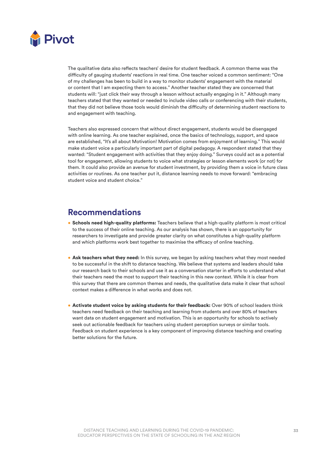

The qualitative data also reflects teachers' desire for student feedback. A common theme was the difficulty of gauging students' reactions in real time. One teacher voiced a common sentiment: "One of my challenges has been to build in a way to monitor students' engagement with the material or content that I am expecting them to access." Another teacher stated they are concerned that students will: "just click their way through a lesson without actually engaging in it." Although many teachers stated that they wanted or needed to include video calls or conferencing with their students, that they did not believe those tools would diminish the difficulty of determining student reactions to and engagement with teaching.

Teachers also expressed concern that without direct engagement, students would be disengaged with online learning. As one teacher explained, once the basics of technology, support, and space are established, "It's all about Motivation! Motivation comes from enjoyment of learning." This would make student voice a particularly important part of digital pedagogy. A respondent stated that they wanted: "Student engagement with activities that they enjoy doing." Surveys could act as a potential tool for engagement, allowing students to voice what strategies or lesson elements work (or not) for them. It could also provide an avenue for student investment, by providing them a voice in future class activities or routines. As one teacher put it, distance learning needs to move forward: "embracing student voice and student choice."

### **Recommendations**

- Schools need high-quality platforms: Teachers believe that a high-quality platform is most critical to the success of their online teaching. As our analysis has shown, there is an opportunity for researchers to investigate and provide greater clarity on what constitutes a high-quality platform and which platforms work best together to maximise the efficacy of online teaching.
- Ask teachers what they need: In this survey, we began by asking teachers what they most needed to be successful in the shift to distance teaching. We believe that systems and leaders should take our research back to their schools and use it as a conversation starter in efforts to understand what their teachers need the most to support their teaching in this new context. While it is clear from this survey that there are common themes and needs, the qualitative data make it clear that school context makes a difference in what works and does not.
- Activate student voice by asking students for their feedback: Over 90% of school leaders think teachers need feedback on their teaching and learning from students and over 80% of teachers want data on student engagement and motivation. This is an opportunity for schools to actively seek out actionable feedback for teachers using student perception surveys or similar tools. Feedback on student experience is a key component of improving distance teaching and creating better solutions for the future.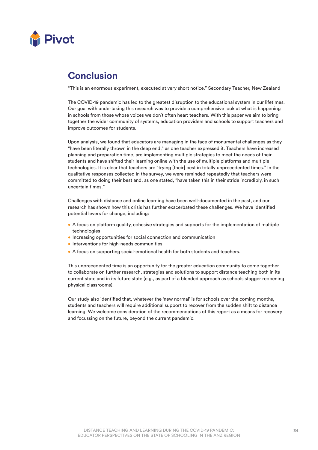

### **Conclusion**

"This is an enormous experiment, executed at very short notice." Secondary Teacher, New Zealand

The COVID-19 pandemic has led to the greatest disruption to the educational system in our lifetimes. Our goal with undertaking this research was to provide a comprehensive look at what is happening in schools from those whose voices we don't often hear: teachers. With this paper we aim to bring together the wider community of systems, education providers and schools to support teachers and improve outcomes for students.

Upon analysis, we found that educators are managing in the face of monumental challenges as they "have been literally thrown in the deep end," as one teacher expressed it. Teachers have increased planning and preparation time, are implementing multiple strategies to meet the needs of their students and have shifted their learning online with the use of multiple platforms and multiple technologies. It is clear that teachers are "trying [their] best in totally unprecedented times." In the qualitative responses collected in the survey, we were reminded repeatedly that teachers were committed to doing their best and, as one stated, "have taken this in their stride incredibly, in such uncertain times."

Challenges with distance and online learning have been well-documented in the past, and our research has shown how this crisis has further exacerbated these challenges. We have identified potential levers for change, including:

- A focus on platform quality, cohesive strategies and supports for the implementation of multiple technologies
- Increasing opportunities for social connection and communication
- Interventions for high-needs communities
- A focus on supporting social-emotional health for both students and teachers.

This unprecedented time is an opportunity for the greater education community to come together to collaborate on further research, strategies and solutions to support distance teaching both in its current state and in its future state (e.g., as part of a blended approach as schools stagger reopening physical classrooms).

Our study also identified that, whatever the 'new normal' is for schools over the coming months, students and teachers will require additional support to recover from the sudden shift to distance learning. We welcome consideration of the recommendations of this report as a means for recovery and focussing on the future, beyond the current pandemic.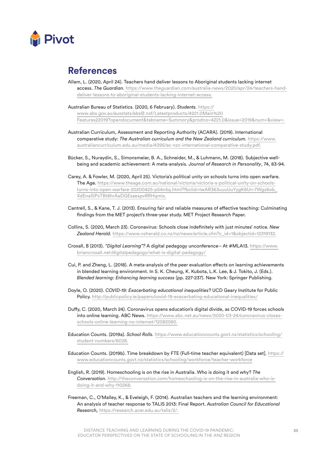

### **References**

- Allam, L. (2020, April 24). Teachers hand deliver lessons to Aboriginal students lacking internet access. *The Guardian.* https://www.theguardian.com/australia-news/2020/apr/24/teachers-handdeliver-lessons-to-aboriginal-students-lacking-internet-access.
- Australian Bureau of Statistics. (2020, 6 February). *Students.* https:// www.abs.gov.au/ausstats/abs@.nsf/Latestproducts/4221.0Main%20 Features22019?opendocument&tabname=Summary&prodno=4221.0&issue=2019&num=&view=.
- Australian Curriculum, Assessment and Reporting Authority (ACARA). (2019). International comparative study: *The Australian curriculum and the New Zealand curriculum.* https://www. australiancurriculum.edu.au/media/4395/ac-nzc-international-comparative-study.pdf.
- Bücker, S., Nuraydin, S., Simonsmeier, B. A., Schneider, M., & Luhmann, M. (2018). Subjective wellbeing and academic achievement: A meta-analysis. *Journal of Research in Personality*, 74, 83-94.
- Carey, A. & Fowler, M. (2020, April 25). Victoria's political unity on schools turns into open warfare. The Age. https://www.theage.com.au/national/victoria/victoria-s-political-unity-on-schoolsturns-into-open-warfare-20200425-p54n5q.html?fbclid=IwAR363uuuUuYygK8Un-7Wgz6ob\_ XdEnaSlPxTBt8hrAaDGEsaexpvRRHqmis.
- Cantrell, S., & Kane, T. J. (2013). Ensuring fair and reliable measures of effective teaching: Culminating findings from the MET project's three-year study. MET Project Research Paper.
- Collins, S. (2020, March 23). Coronavirus: Schools close indefinitely with just minutes' notice. *New Zealand Herald.* https://www.nzherald.co.nz/nz/news/article.cfm?c\_id=1&objectid=12319132.
- Croxall, B (2013). *"Digital Learning"?* A digital pedagogy unconference-- At #MLA13. https://www. briancroxall.net/digitalpedagogy/what-is-digital-pedagogy/
- Cui, P. and Zheng, L. (2018). A meta-analysis of the peer evaluation effects on learning achievements in blended learning environment. In S. K. Cheung, K. Kubota, L.K. Lee, & J. Tokito, J. (Eds.). *Blended learning: Enhancing learning success* (pp. 227-237). New York: Springer Publishing.
- Doyle, O. (2020). *COVID-19: Exacerbating educational inequalities*? UCD Geary Institute for Public Policy. http://publicpolicy.ie/papers/covid-19-exacerbating-educational-inequalities/
- Duffy, C. (2020, March 24). Coronavirus opens education's digital divide, as COVID-19 forces schools into online learning. ABC News. https://www.abc.net.au/news/2020-03-24/coronavirus-closesschools-online-learning-no-internet/12082580.
- Education Counts. (2019a). *School Rolls.* https://www.educationcounts.govt.nz/statistics/schooling/ student-numbers/6028.
- Education Counts. (2019b). Time breakdown by FTE (Full-time teacher equivalent) [Data set]. https:// www.educationcounts.govt.nz/statistics/schooling/workforce/teacher-workforce
- English, R. (2019). Homeschooling is on the rise in Australia. Who is doing it and why? *The Conversation.* http://theconversation.com/homeschooling-is-on-the-rise-in-australia-who-isdoing-it-and-why-110268.
- Freeman, C., O'Malley, K., & Eveleigh, F. (2014). Australian teachers and the learning environment: An analysis of teacher response to TALIS 2013: Final Report. *Australian Council for Educational Research,* https://research.acer.edu.au/talis/2/.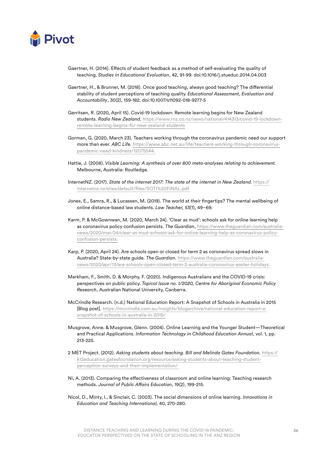

- Gaertner, H. (2014). Effects of student feedback as a method of self-evaluating the quality of teaching. *Studies in Educational Evaluation*, 42, 91-99. doi:10.1016/j.stueduc.2014.04.003
- Gaertner, H., & Brunner, M. (2018). Once good teaching, always good teaching? The differential stability of student perceptions of teaching quality. *Educational Assessment, Evaluation and Accountability*, 30(2), 159-182. doi:10.1007/s11092-018-9277-5
- Gerritsen, R. (2020, April 15). Covid-19 lockdown: Remote learning begins for New Zealand students. *Radio New Zealand.* https://www.rnz.co.nz/news/national/414313/covid-19-lockdownremote-learning-begins-for-new-zealand-students
- Gorman, G. (2020, March 23). Teachers working through the coronavirus pandemic need our support more than ever. *ABC Life.* https://www.abc.net.au/life/teachers-working-through-coronaviruspandemic-need-kindness/12075544.
- Hattie, J. (2008). *Visible Learning: A synthesis of over 800 meta-analyses relating to achievement.*  Melbourne, Australia: Routledge.
- InternetNZ. (2017). *State of the internet 2017: The state of the internet in New Zealand.* https:// internetnz.nz/sites/default/files/SOTI%20FINAL.pdf.
- Jones, E., Samra, R., & Lucassen, M. (2019). The world at their fingertips? The mental wellbeing of online distance-based law students. *Law Teacher,* 53(1), 49–69.
- Karm, P. & McGownwan, M. (2020, March 24). 'Clear as mud': schools ask for online learning help as coronavirus policy confusion persists. *The Guardian*, https://www.theguardian.com/australianews/2020/mar/24/clear-as-mud-schools-ask-for-online-learning-help-as-coronavirus-policyconfusion-persists.
- Karp, P. (2020, April 24). Are schools open or closed for term 2 as coronavirus spread slows in Australia? State-by-state guide. *The Guardian.* https://www.theguardian.com/australianews/2020/apr/13/are-schools-open-closed-term-2-australia-coronavirus-easter-holidays.
- Markham, F., Smith, D. & Morphy, F. (2020). Indigenous Australians and the COVID-19 crisis: perspectives on public policy. *Topical Issue no. 1/2020, Centre for Aboriginal Economic Policy Research*, Australian National University, Canberra.
- McCrindle Research. (n.d.) National Education Report: A Snapshot of Schools in Australia in 2015 [Blog post]. https://mccrindle.com.au/insights/blogarchive/national-education-report-asnapshot-of-schools-in-australia-in-2015/
- Musgrove, Anne. & Musgrove, Glenn. (2004). Online Learning and the Younger Student—Theoretical and Practical Applications. *Information Technology in Childhood Education Annua*l, vol. 1, pp. 213-225.
- 2 MET Project. (2012). *Asking students about teaching. Bill and Melinda Gates Foundation.* https:// k12education.gatesfoundation.org/resource/asking-students-about-teaching-studentperception-surveys-and-their-implementation/
- Ni, A. (2013). Comparing the effectiveness of classroom and online learning: Teaching research methods. *Journal of Public Affairs Education*, 19(2), 199-215.
- Nicol, D., Minty, I., & Sinclair, C. (2003). The social dimensions of online learning. *Innovations in Education and Teaching International,* 40, 270-280.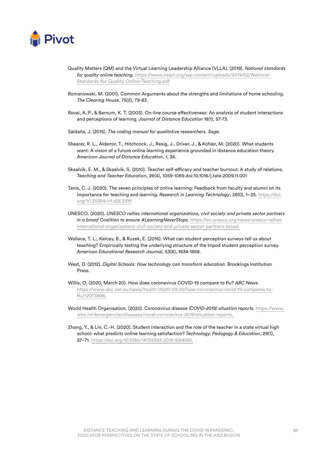

- Quality Matters (QM) and the Virtual Learning Leadership Alliance (VLLA). (2019). *National standards for quality online teaching.* https://www.nsqol.org/wp-content/uploads/2019/02/National-Standards-for-Quality-Online-Teaching.pdf
- Romanowski, M. (2001). Common Arguments about the strengths and limitations of home schooling. *The Clearing House*, 75(2), 79-83.
- Rovai, A. P., & Barnum, K. T. (2003). On-line course effectiveness: An analysis of student interactions and perceptions of learning. *Journal of Distance Education* 18(1), 57-73.
- Saldaña, J. (2015). *The coding manual for qualitative researchers. Sage*.
- Shearer, R. L., Aldemir, T., Hitchcock, J., Resig, J., Driver, J., & Kohler, M. (2020). What students want: A vision of a future online learning experience grounded in distance education theory. *American Journal of Distance Education*, 1, 36.
- Skaalvik, E. M., & Skaalvik, S. (2010). Teacher self-efficacy and teacher burnout: A study of relations. *Teaching and Teacher Educatio*n, 26(4), 1059-1069.doi:10.1016/j.tate.2009.11.001
- Tanis, C. J. (2020). The seven principles of online learning: Feedback from faculty and alumni on its importance for teaching and learning. *Research in Learning Technology*, 28(0), 1–25. https://doi. org/10.25304/rlt.v28.2319
- UNESCO. (2020). *UNESCO rallies international organizations, civil society and private sector partners in a broad Coalition to ensure #LearningNeverStops.* https://en.unesco.org/news/unesco-ralliesinternational-organizations-civil-society-and-private-sector-partners-broad.
- Wallace, T. L., Kelcey, B., & Ruzek, E. (2016). What can student perception surveys tell us about teaching? Empirically testing the underlying structure of the tripod student perception survey. *American Educational Research Journal,* 53(6), 1834-1868.
- West, D. (2012). *Digital Schools: How technology can transform education.* Brookings Institution Press.
- Willis, O. (2020, March 20). How does coronavirus COVID-19 compare to flu? *ABC News.*  https://www.abc.net.au/news/health/2020-03-20/how-coronavirus-covid-19-compares-toflu/12073696.
- World Health Organisation. (2020). *Coronavirus disease (COVID-2019) situation reports.* https://www. who.int/emergencies/diseases/novel-coronavirus-2019/situation-reports.
- Zhang, Y., & Lin, C.-H. (2020). Student interaction and the role of the teacher in a state virtual high school: what predicts online learning satisfaction? *Technology, Pedagogy & Education*, 29(1), 57–71. https://doi.org/10.1080/1475939X.2019.1694061.